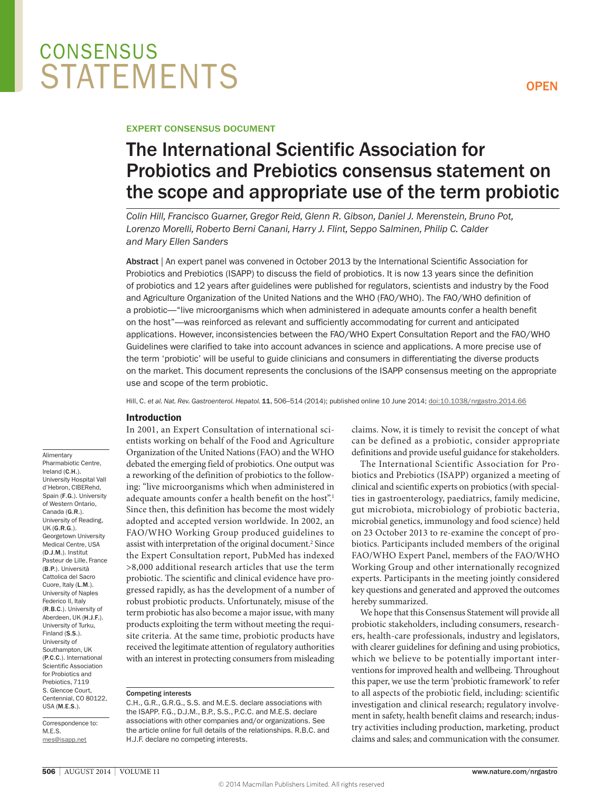#### EXPERT CONSENSUS DOCUMENT

## The International Scientific Association for Probiotics and Prebiotics consensus statement on the scope and appropriate use of the term probiotic

*Colin Hill, Francisco Guarner, Gregor Reid, Glenn R. Gibson, Daniel J. Merenstein, Bruno Pot, Lorenzo Morelli, Roberto Berni Canani, Harry J. Flint, Seppo Salminen, Philip C. Calder and Mary Ellen Sanders*

Abstract | An expert panel was convened in October 2013 by the International Scientific Association for Probiotics and Prebiotics (ISAPP) to discuss the field of probiotics. It is now 13 years since the definition of probiotics and 12 years after guidelines were published for regulators, scientists and industry by the Food and Agriculture Organization of the United Nations and the WHO (FAO/WHO). The FAO/WHO definition of a probiotic—"live microorganisms which when administered in adequate amounts confer a health benefit on the host"—was reinforced as relevant and sufficiently accommodating for current and anticipated applications. However, inconsistencies between the FAO/WHO Expert Consultation Report and the FAO/WHO Guidelines were clarified to take into account advances in science and applications. A more precise use of the term 'probiotic' will be useful to guide clinicians and consumers in differentiating the diverse products on the market. This document represents the conclusions of the ISAPP consensus meeting on the appropriate use and scope of the term probiotic.

Hill, C. *et al. Nat. Rev. Gastroenterol. Hepatol.* 11, 506–514 (2014); published online 10 June 2014; [doi:10.1038/nrgastro.2014.66](http://www.nature.com/doifinder/10.1038/nrgastro.2014.66)

#### Introduction

Alimentary Pharmabiotic Centre, Ireland (C.H.). University Hospital Vall d'Hebron, CIBERehd, Spain (F.G.). University of Western Ontario, Canada (G.R.). University of Reading, UK (G.R.G.). Georgetown University Medical Centre, USA (D.J.M.). Institut Pasteur de Lille, France (B.P.). Università Cattolica del Sacro Cuore, Italy (L.M.). University of Naples Federico II, Italy (R.B.C.). University of Aberdeen, UK (H.J.F.). University of Turku, Finland (S.S.). University of Southampton, UK (P.C.C.). International Scientific Association for Probiotics and Prebiotics, 7119 S. Glencoe Court, Centennial, CO 80122, USA (M.E.S.).

Correspondence to: M<sub>FS</sub> [mes@isapp.net](mailto:mes@isapp.net)

In 2001, an Expert Consultation of international scientists working on behalf of the Food and Agriculture Organization of the United Nations (FAO) and the WHO debated the emerging field of probiotics. One output was a reworking of the definition of probiotics to the following: "live microorganisms which when administered in adequate amounts confer a health benefit on the host".<sup>1</sup> Since then, this definition has become the most widely adopted and accepted version worldwide. In 2002, an FAO/WHO Working Group produced guidelines to assist with interpretation of the original document.<sup>2</sup> Since the Expert Consultation report, PubMed has indexed >8,000 additional research articles that use the term probiotic. The scientific and clinical evidence have progressed rapidly, as has the development of a number of robust probiotic products. Unfortunately, misuse of the term probiotic has also become a major issue, with many products exploiting the term without meeting the requisite criteria. At the same time, probiotic products have received the legitimate attention of regulatory authorities with an interest in protecting consumers from misleading

#### Competing interests

C.H., G.R., G.R.G., S.S. and M.E.S. declare associations with the ISAPP. F.G., D.J.M., B.P., S.S., P.C.C. and M.E.S. declare associations with other companies and/or organizations. See the article online for full details of the relationships. R.B.C. and H.J.F. declare no competing interests.

claims. Now, it is timely to revisit the concept of what can be defined as a probiotic, consider appropriate definitions and provide useful guidance for stakeholders.

The International Scientific Association for Probiotics and Prebiotics (ISAPP) organized a meeting of clinical and scientific experts on probiotics (with specialties in gastroenterology, paediatrics, family medicine, gut microbiota, microbiology of probiotic bacteria, microbial genetics, immunology and food science) held on 23 October 2013 to re-examine the concept of probiotics. Participants included members of the original FAO/WHO Expert Panel, members of the FAO/WHO Working Group and other internationally recognized experts. Participants in the meeting jointly considered key questions and generated and approved the outcomes hereby summarized.

We hope that this Consensus Statement will provide all probiotic stakeholders, including consumers, researchers, health-care professionals, industry and legislators, with clearer guidelines for defining and using probiotics, which we believe to be potentially important interventions for improved health and wellbeing. Throughout this paper, we use the term 'probiotic framework' to refer to all aspects of the probiotic field, including: scientific investigation and clinical research; regulatory involvement in safety, health benefit claims and research; industry activities including production, marketing, product claims and sales; and communication with the consumer.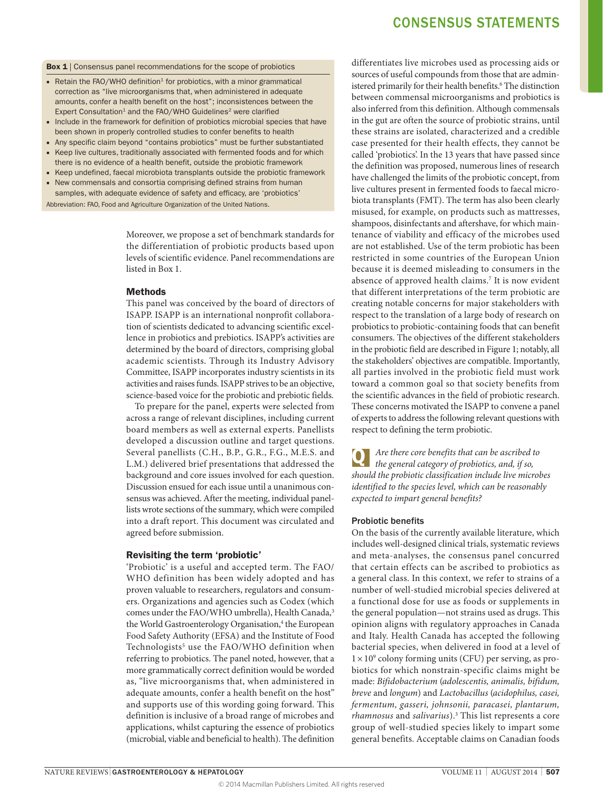#### **Box 1** | Consensus panel recommendations for the scope of probiotics

- Retain the FAO/WHO definition<sup>1</sup> for probiotics, with a minor grammatical correction as "live microorganisms that, when administered in adequate amounts, confer a health benefit on the host"; inconsistences between the Expert Consultation<sup>1</sup> and the FAO/WHO Guidelines<sup>2</sup> were clarified
- Include in the framework for definition of probiotics microbial species that have been shown in properly controlled studies to confer benefits to health
- Any specific claim beyond "contains probiotics" must be further substantiated ■ Keep live cultures, traditionally associated with fermented foods and for which
- there is no evidence of a health benefit, outside the probiotic framework ■ Keep undefined, faecal microbiota transplants outside the probiotic framework
- New commensals and consortia comprising defined strains from human

samples, with adequate evidence of safety and efficacy, are 'probiotics' Abbreviation: FAO, Food and Agriculture Organization of the United Nations.

> Moreover, we propose a set of benchmark standards for the differentiation of probiotic products based upon levels of scientific evidence. Panel recommendations are listed in Box 1.

#### **Methods**

This panel was conceived by the board of directors of ISAPP. ISAPP is an international nonprofit collaboration of scientists dedicated to advancing scientific excellence in probiotics and prebiotics. ISAPP's activities are determined by the board of directors, comprising global academic scientists. Through its Industry Advisory Committee, ISAPP incorporates industry scientists in its activities and raises funds. ISAPP strives to be an objective, science-based voice for the probiotic and prebiotic fields.

To prepare for the panel, experts were selected from across a range of relevant disciplines, including current board members as well as external experts. Panellists developed a discussion outline and target questions. Several panellists (C.H., B.P., G.R., F.G., M.E.S. and L.M.) delivered brief presentations that addressed the background and core issues involved for each question. Discussion ensued for each issue until a unanimous consensus was achieved. After the meeting, individual panellists wrote sections of the summary, which were compiled into a draft report. This document was circulated and agreed before submission.

#### Revisiting the term 'probiotic'

'Probiotic' is a useful and accepted term. The FAO/ WHO definition has been widely adopted and has proven valuable to researchers, regulators and consumers. Organizations and agencies such as Codex (which comes under the FAO/WHO umbrella), Health Canada,<sup>3</sup> the World Gastroenterology Organisation,<sup>4</sup> the European Food Safety Authority (EFSA) and the Institute of Food Technologists<sup>5</sup> use the FAO/WHO definition when referring to probiotics. The panel noted, however, that a more grammatically correct definition would be worded as, "live microorganisms that, when administered in adequate amounts, confer a health benefit on the host" and supports use of this wording going forward. This definition is inclusive of a broad range of microbes and applications, whilst capturing the essence of probiotics (microbial, viable and beneficial to health). The definition

differentiates live microbes used as processing aids or sources of useful compounds from those that are administered primarily for their health benefits.<sup>6</sup> The distinction between commensal microorganisms and probiotics is also inferred from this definition. Although commensals in the gut are often the source of probiotic strains, until these strains are isolated, characterized and a credible case presented for their health effects, they cannot be called 'probiotics'. In the 13 years that have passed since the definition was proposed, numerous lines of research have challenged the limits of the probiotic concept, from live cultures present in fermented foods to faecal microbiota transplants (FMT). The term has also been clearly misused, for example, on products such as mattresses, shampoos, disinfectants and aftershave, for which maintenance of viability and efficacy of the microbes used are not established. Use of the term probiotic has been restricted in some countries of the European Union because it is deemed misleading to consumers in the absence of approved health claims.<sup>7</sup> It is now evident that different interpretations of the term probiotic are creating notable concerns for major stakeholders with respect to the translation of a large body of research on probiotics to probiotic-containing foods that can benefit consumers. The objectives of the different stakeholders in the probiotic field are described in Figure 1; notably, all the stakeholders' objectives are compatible. Importantly, all parties involved in the probiotic field must work toward a common goal so that society benefits from the scientific advances in the field of probiotic research. These concerns motivated the ISAPP to convene a panel of experts to address the following relevant questions with respect to defining the term probiotic.

Are there core benefits that can be ascribed to *the general category of probiotics, and, if so, should the probiotic classification include live microbes identified to the species level, which can be reasonably expected to impart general benefits?*

#### Probiotic benefits

On the basis of the currently available literature, which includes well-designed clinical trials, systematic reviews and meta-analyses, the consensus panel concurred that certain effects can be ascribed to probiotics as a general class. In this context, we refer to strains of a number of well-studied microbial species delivered at a functional dose for use as foods or supplements in the general population—not strains used as drugs. This opinion aligns with regulatory approaches in Canada and Italy. Health Canada has accepted the following bacterial species, when delivered in food at a level of  $1 \times 10^9$  colony forming units (CFU) per serving, as probiotics for which nonstrain-specific claims might be made: *Bifidobacterium* (*adolescentis, animalis, bifidum, breve* and *longum*) and *Lactobacillus* (*acidophilus, casei, fermentum, gasseri, johnsonii, paracasei, plantarum, rhamnosus* and *salivarius*).3 This list represents a core group of well-studied species likely to impart some general benefits. Acceptable claims on Canadian foods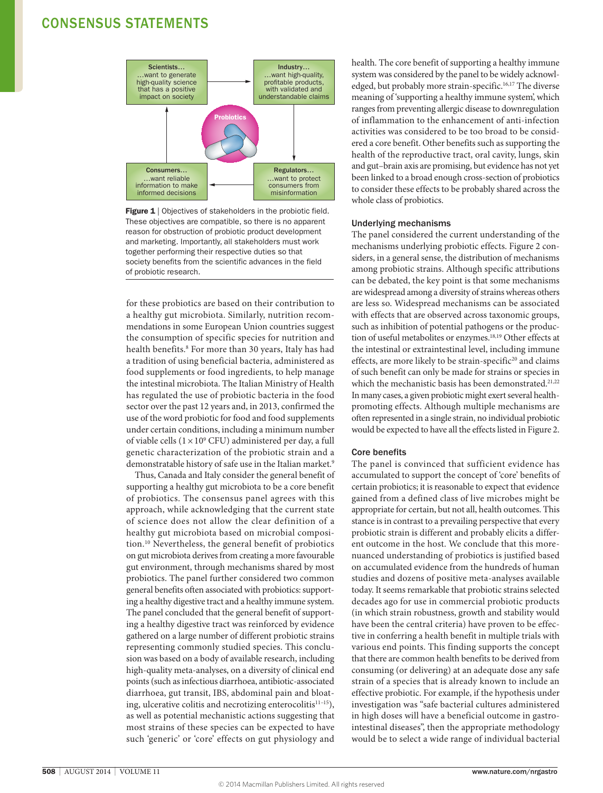

Figure 1 | Objectives of stakeholders in the probiotic field. These objectives are compatible, so there is no apparent reason for obstruction of probiotic product development and marketing. Importantly, all stakeholders must work together performing their respective duties so that society benefits from the scientific advances in the field of probiotic research.

for these probiotics are based on their contribution to a healthy gut microbiota. Similarly, nutrition recommendations in some European Union countries suggest the consumption of specific species for nutrition and health benefits.8 For more than 30 years, Italy has had a tradition of using beneficial bacteria, administered as food supplements or food ingredients, to help manage the intestinal microbiota. The Italian Ministry of Health has regulated the use of probiotic bacteria in the food sector over the past 12 years and, in 2013, confirmed the use of the word probiotic for food and food supplements under certain conditions, including a minimum number of viable cells  $(1 \times 10^9 \text{ CFU})$  administered per day, a full genetic characterization of the probiotic strain and a demonstratable history of safe use in the Italian market.<sup>9</sup>

Thus, Canada and Italy consider the general benefit of supporting a healthy gut microbiota to be a core benefit of probiotics. The consensus panel agrees with this approach, while acknowledging that the current state of science does not allow the clear definition of a healthy gut microbiota based on microbial composition.10 Nevertheless, the general benefit of probiotics on gut microbiota derives from creating a more favourable gut environment, through mechanisms shared by most probiotics. The panel further considered two common general benefits often associated with probiotics: supporting a healthy digestive tract and a healthy immune system. The panel concluded that the general benefit of supporting a healthy digestive tract was reinforced by evidence gathered on a large number of different probiotic strains representing commonly studied species. This conclusion was based on a body of available research, including high-quality meta-analyses, on a diversity of clinical end points (such as infectious diarrhoea, antibiotic-associated diarrhoea, gut transit, IBS, abdominal pain and bloating, ulcerative colitis and necrotizing enterocolitis<sup>11-15</sup>), as well as potential mechanistic actions suggesting that most strains of these species can be expected to have such 'generic' or 'core' effects on gut physiology and

health. The core benefit of supporting a healthy immune system was considered by the panel to be widely acknowledged, but probably more strain-specific.<sup>16,17</sup> The diverse meaning of 'supporting a healthy immune system', which ranges from preventing allergic disease to downregulation of inflammation to the enhancement of anti-infection activities was considered to be too broad to be considered a core benefit. Other benefits such as supporting the health of the reproductive tract, oral cavity, lungs, skin and gut–brain axis are promising, but evidence has not yet been linked to a broad enough cross-section of probiotics to consider these effects to be probably shared across the whole class of probiotics.

#### Underlying mechanisms

The panel considered the current understanding of the mechanisms underlying probiotic effects. Figure 2 considers, in a general sense, the distribution of mechanisms among probiotic strains. Although specific attributions can be debated, the key point is that some mechanisms are widespread among a diversity of strains whereas others are less so. Widespread mechanisms can be associated with effects that are observed across taxonomic groups, such as inhibition of potential pathogens or the production of useful metabolites or enzymes.18,19 Other effects at the intestinal or extraintestinal level, including immune effects, are more likely to be strain-specific<sup>20</sup> and claims of such benefit can only be made for strains or species in which the mechanistic basis has been demonstrated.<sup>21,22</sup> In many cases, a given probiotic might exert several healthpromoting effects. Although multiple mechanisms are often represented in a single strain, no individual probiotic would be expected to have all the effects listed in Figure 2.

#### Core benefits

The panel is convinced that sufficient evidence has accumulated to support the concept of 'core' benefits of certain probiotics; it is reasonable to expect that evidence gained from a defined class of live microbes might be appropriate for certain, but not all, health outcomes. This stance is in contrast to a prevailing perspective that every probiotic strain is different and probably elicits a different outcome in the host. We conclude that this morenuanced understanding of probiotics is justified based on accumulated evidence from the hundreds of human studies and dozens of positive meta-analyses available today. It seems remarkable that probiotic strains selected decades ago for use in commercial probiotic products (in which strain robustness, growth and stability would have been the central criteria) have proven to be effective in conferring a health benefit in multiple trials with various end points. This finding supports the concept that there are common health benefits to be derived from consuming (or delivering) at an adequate dose any safe strain of a species that is already known to include an effective probiotic. For example, if the hypothesis under investigation was "safe bacterial cultures administered in high doses will have a beneficial outcome in gastrointestinal diseases", then the appropriate methodology would be to select a wide range of individual bacterial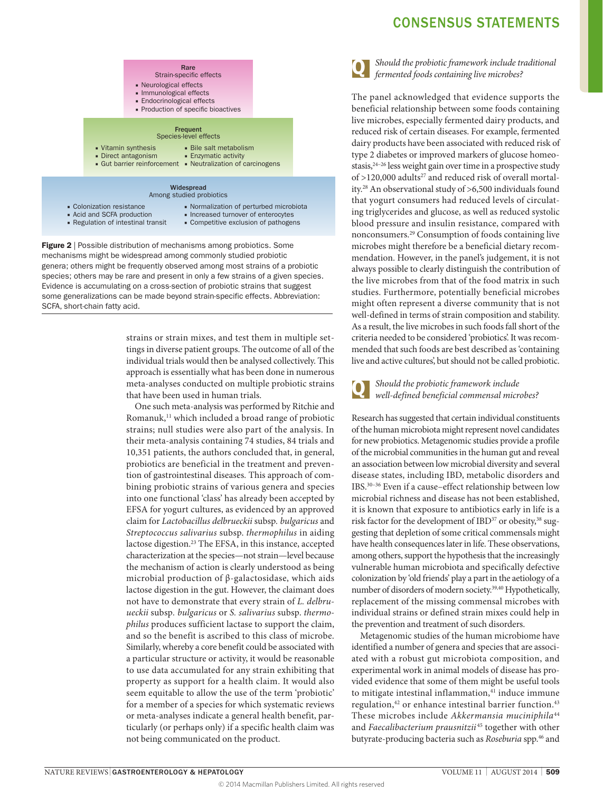

**Figure 2** | Possible distribution of mechanisms among probiotics. Some mechanisms might be widespread among commonly studied probiotic genera; others might be frequently observed among most strains of a probiotic species; others may be rare and present in only a few strains of a given species. Evidence is accumulating on a cross-section of probiotic strains that suggest some generalizations can be made beyond strain-specific effects. Abbreviation: SCFA, short-chain fatty acid.

> strains or strain mixes, and test them in multiple settings in diverse patient groups. The outcome of all of the individual trials would then be analysed collectively. This approach is essentially what has been done in numerous meta-analyses conducted on multiple probiotic strains that have been used in human trials.

> One such meta-analysis was performed by Ritchie and Romanuk,<sup>11</sup> which included a broad range of probiotic strains; null studies were also part of the analysis. In their meta-analysis containing 74 studies, 84 trials and 10,351 patients, the authors concluded that, in general, probiotics are beneficial in the treatment and prevention of gastrointestinal diseases*.* This approach of combining probiotic strains of various genera and species into one functional 'class' has already been accepted by EFSA for yogurt cultures, as evidenced by an approved claim for *Lactobacillus delbrueckii* subsp*. bulgaricus* and *Streptococcus salivarius* subsp. *thermophilus* in aiding lactose digestion.<sup>23</sup> The EFSA, in this instance, accepted characterization at the species—not strain—level because the mechanism of action is clearly understood as being microbial production of  $β$ -galactosidase, which aids lactose digestion in the gut. However, the claimant does not have to demonstrate that every strain of *L. delbru‑ ueckii* subsp*. bulgaricus* or *S. salivarius* subsp. *thermo‑ philus* produces sufficient lactase to support the claim, and so the benefit is ascribed to this class of microbe. Similarly, whereby a core benefit could be associated with a particular structure or activity, it would be reasonable to use data accumulated for any strain exhibiting that property as support for a health claim. It would also seem equitable to allow the use of the term 'probiotic' for a member of a species for which systematic reviews or meta-analyses indicate a general health benefit, particularly (or perhaps only) if a specific health claim was not being communicated on the product.

Q *Should the probiotic framework include traditional fermented foods containing live microbes?*

The panel acknowledged that evidence supports the beneficial relationship between some foods containing live microbes, especially fermented dairy products, and reduced risk of certain diseases. For example, fermented dairy products have been associated with reduced risk of type 2 diabetes or improved markers of glucose homeostasis,24–26 less weight gain over time in a prospective study of >120,000 adults<sup>27</sup> and reduced risk of overall mortality.28 An observational study of >6,500 individuals found that yogurt consumers had reduced levels of circulating triglycerides and glucose, as well as reduced systolic blood pressure and insulin resistance, compared with nonconsumers.29 Consumption of foods containing live microbes might therefore be a beneficial dietary recommendation. However, in the panel's judgement, it is not always possible to clearly distinguish the contribution of the live microbes from that of the food matrix in such studies. Furthermore, potentially beneficial microbes might often represent a diverse community that is not well-defined in terms of strain composition and stability. As a result, the live microbes in such foods fall short of the criteria needed to be considered 'probiotics'. It was recommended that such foods are best described as 'containing live and active cultures', but should not be called probiotic.

Q *Should the probiotic framework include well‑defined beneficial commensal microbes?*

Research has suggested that certain individual constituents of the human microbiota might represent novel candidates for new probiotics. Metagenomic studies provide a profile of the microbial communities in the human gut and reveal an association between low microbial diversity and several disease states, including IBD, metabolic disorders and IBS.30–36 Even if a cause–effect relationship between low microbial richness and disease has not been established, it is known that exposure to antibiotics early in life is a risk factor for the development of  $IBD<sup>37</sup>$  or obesity,<sup>38</sup> suggesting that depletion of some critical commensals might have health consequences later in life. These observations, among others, support the hypothesis that the increasingly vulnerable human microbiota and specifically defective colonization by 'old friends' play a part in the aetiology of a number of disorders of modern society.39,40 Hypothetically, replacement of the missing commensal microbes with individual strains or defined strain mixes could help in the prevention and treatment of such disorders.

Metagenomic studies of the human microbiome have identified a number of genera and species that are associated with a robust gut microbiota composition, and experimental work in animal models of disease has provided evidence that some of them might be useful tools to mitigate intestinal inflammation,<sup>41</sup> induce immune regulation,<sup>42</sup> or enhance intestinal barrier function.<sup>43</sup> These microbes include *Akkermansia muciniphila*<sup>44</sup> and *Faecalibacterium prausnitzii*<sup>45</sup> together with other butyrate-producing bacteria such as *Roseburia* spp.46 and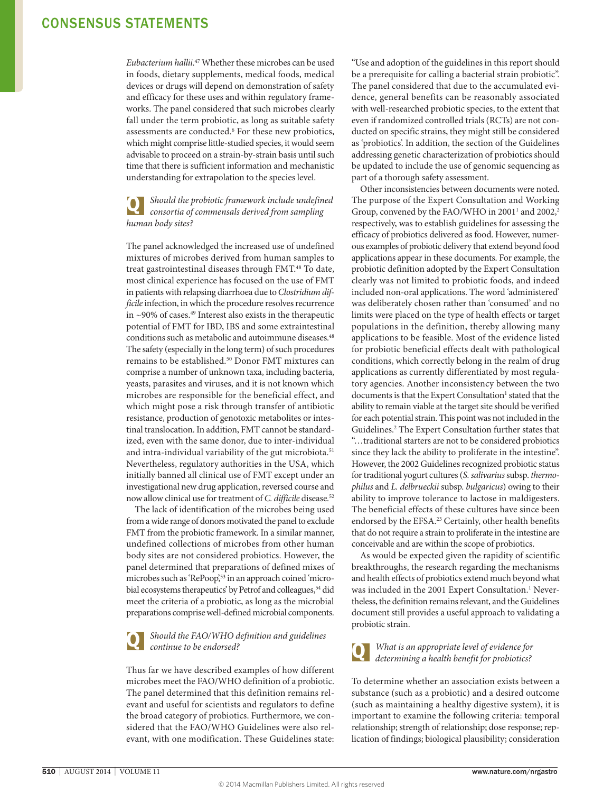*Eubacterium hallii*. 47 Whether these microbes can be used in foods, dietary supplements, medical foods, medical devices or drugs will depend on demonstration of safety and efficacy for these uses and within regulatory frameworks. The panel considered that such microbes clearly fall under the term probiotic, as long as suitable safety assessments are conducted.6 For these new probiotics, which might comprise little-studied species, it would seem advisable to proceed on a strain-by-strain basis until such time that there is sufficient information and mechanistic understanding for extrapolation to the species level.

Should the probiotic framework include undefined *consortia of commensals derived from sampling human body sites?*

The panel acknowledged the increased use of undefined mixtures of microbes derived from human samples to treat gastrointestinal diseases through FMT.48 To date, most clinical experience has focused on the use of FMT in patients with relapsing diarrhoea due to *Clostridium dif‑ ficile* infection, in which the procedure resolves recurrence in ~90% of cases.49 Interest also exists in the therapeutic potential of FMT for IBD, IBS and some extraintestinal conditions such as metabolic and autoimmune diseases.<sup>48</sup> The safety (especially in the long term) of such procedures remains to be established.50 Donor FMT mixtures can comprise a number of unknown taxa, including bacteria, yeasts, parasites and viruses, and it is not known which microbes are responsible for the beneficial effect, and which might pose a risk through transfer of antibiotic resistance, production of genotoxic metabolites or intestinal translocation. In addition, FMT cannot be standardized, even with the same donor, due to inter-individual and intra-individual variability of the gut microbiota.<sup>51</sup> Nevertheless, regulatory authorities in the USA, which initially banned all clinical use of FMT except under an investigational new drug application, reversed course and now allow clinical use for treatment of *C. difficile* disease.52

The lack of identification of the microbes being used from a wide range of donors motivated the panel to exclude FMT from the probiotic framework. In a similar manner, undefined collections of microbes from other human body sites are not considered probiotics. However, the panel determined that preparations of defined mixes of microbes such as 'RePoop'<sup>53</sup> in an approach coined 'microbial ecosystems therapeutics' by Petrof and colleagues,<sup>54</sup> did meet the criteria of a probiotic, as long as the microbial preparations comprise well-defined microbial components.

#### Q *Should the FAO/WHO definition and guidelines continue to be endorsed?*

Thus far we have described examples of how different microbes meet the FAO/WHO definition of a probiotic. The panel determined that this definition remains relevant and useful for scientists and regulators to define the broad category of probiotics. Furthermore, we considered that the FAO/WHO Guidelines were also relevant, with one modification. These Guidelines state:

"Use and adoption of the guidelines in this report should be a prerequisite for calling a bacterial strain probiotic". The panel considered that due to the accumulated evidence, general benefits can be reasonably associated with well-researched probiotic species, to the extent that even if randomized controlled trials (RCTs) are not conducted on specific strains, they might still be considered as 'probiotics'. In addition, the section of the Guidelines addressing genetic characterization of probiotics should be updated to include the use of genomic sequencing as part of a thorough safety assessment.

Other inconsistencies between documents were noted. The purpose of the Expert Consultation and Working Group, convened by the FAO/WHO in  $2001<sup>1</sup>$  and  $2002<sup>2</sup>$ , respectively, was to establish guidelines for assessing the efficacy of probiotics delivered as food. However, numerous examples of probiotic delivery that extend beyond food applications appear in these documents. For example, the probiotic definition adopted by the Expert Consultation clearly was not limited to probiotic foods, and indeed included non-oral applications. The word 'administered' was deliberately chosen rather than 'consumed' and no limits were placed on the type of health effects or target populations in the definition, thereby allowing many applications to be feasible. Most of the evidence listed for probiotic beneficial effects dealt with pathological conditions, which correctly belong in the realm of drug applications as currently differentiated by most regulatory agencies. Another inconsistency between the two documents is that the Expert Consultation<sup>1</sup> stated that the ability to remain viable at the target site should be verified for each potential strain. This point was not included in the Guidelines.2 The Expert Consultation further states that "…traditional starters are not to be considered probiotics since they lack the ability to proliferate in the intestine". However, the 2002 Guidelines recognized probiotic status for traditional yogurt cultures (*S. salivarius* subsp. *thermo‑ philus* and *L. delbrueckii* subsp. *bulgaricus*) owing to their ability to improve tolerance to lactose in maldigesters. The beneficial effects of these cultures have since been endorsed by the EFSA.<sup>23</sup> Certainly, other health benefits that do not require a strain to proliferate in the intestine are conceivable and are within the scope of probiotics.

As would be expected given the rapidity of scientific breakthroughs, the research regarding the mechanisms and health effects of probiotics extend much beyond what was included in the 2001 Expert Consultation.<sup>1</sup> Nevertheless, the definition remains relevant, and the Guidelines document still provides a useful approach to validating a probiotic strain.

Q *What is an appropriate level of evidence for determining a health benefit for probiotics?*

To determine whether an association exists between a substance (such as a probiotic) and a desired outcome (such as maintaining a healthy digestive system), it is important to examine the following criteria: temporal relationship; strength of relationship; dose response; replication of findings; biological plausibility; consideration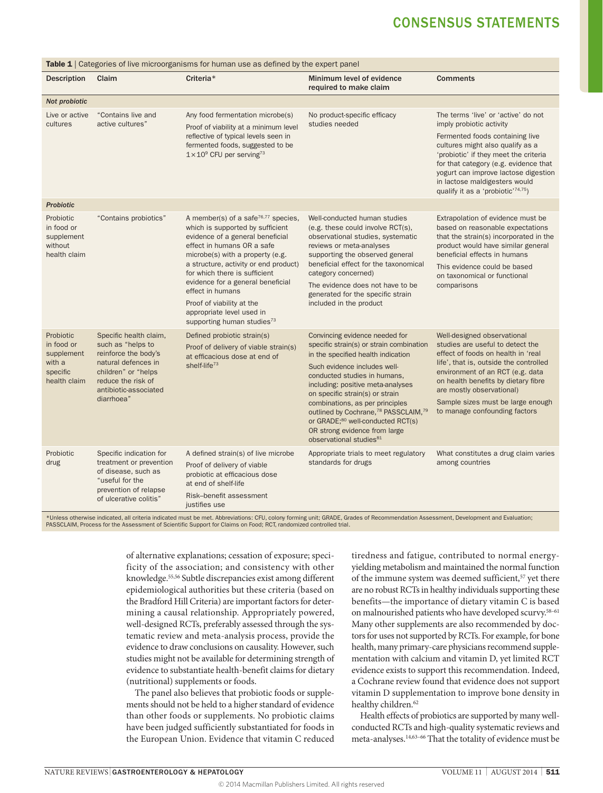| <b>Table 1</b> Categories of live microorganisms for human use as defined by the expert panel |                                                                                                                                                                                |                                                                                                                                                                                                                                                                                                                                                                                                                                  |                                                                                                                                                                                                                                                                                                                                                                                                                                                                                      |                                                                                                                                                                                                                                                                                                                               |
|-----------------------------------------------------------------------------------------------|--------------------------------------------------------------------------------------------------------------------------------------------------------------------------------|----------------------------------------------------------------------------------------------------------------------------------------------------------------------------------------------------------------------------------------------------------------------------------------------------------------------------------------------------------------------------------------------------------------------------------|--------------------------------------------------------------------------------------------------------------------------------------------------------------------------------------------------------------------------------------------------------------------------------------------------------------------------------------------------------------------------------------------------------------------------------------------------------------------------------------|-------------------------------------------------------------------------------------------------------------------------------------------------------------------------------------------------------------------------------------------------------------------------------------------------------------------------------|
| <b>Description</b>                                                                            | Claim                                                                                                                                                                          | Criteria*                                                                                                                                                                                                                                                                                                                                                                                                                        | Minimum level of evidence<br>required to make claim                                                                                                                                                                                                                                                                                                                                                                                                                                  | <b>Comments</b>                                                                                                                                                                                                                                                                                                               |
| Not probiotic                                                                                 |                                                                                                                                                                                |                                                                                                                                                                                                                                                                                                                                                                                                                                  |                                                                                                                                                                                                                                                                                                                                                                                                                                                                                      |                                                                                                                                                                                                                                                                                                                               |
| Live or active<br>cultures                                                                    | "Contains live and<br>active cultures"                                                                                                                                         | Any food fermentation microbe(s)                                                                                                                                                                                                                                                                                                                                                                                                 | No product-specific efficacy<br>studies needed                                                                                                                                                                                                                                                                                                                                                                                                                                       | The terms 'live' or 'active' do not                                                                                                                                                                                                                                                                                           |
|                                                                                               |                                                                                                                                                                                | Proof of viability at a minimum level<br>reflective of typical levels seen in<br>fermented foods, suggested to be<br>$1 \times 10^9$ CFU per serving <sup>73</sup>                                                                                                                                                                                                                                                               |                                                                                                                                                                                                                                                                                                                                                                                                                                                                                      | imply probiotic activity<br>Fermented foods containing live<br>cultures might also qualify as a<br>'probiotic' if they meet the criteria<br>for that category (e.g. evidence that<br>yogurt can improve lactose digestion<br>in lactose maldigesters would<br>qualify it as a 'probiotic'74,75)                               |
| <b>Probiotic</b>                                                                              |                                                                                                                                                                                |                                                                                                                                                                                                                                                                                                                                                                                                                                  |                                                                                                                                                                                                                                                                                                                                                                                                                                                                                      |                                                                                                                                                                                                                                                                                                                               |
| Probiotic<br>in food or<br>supplement<br>without<br>health claim                              | "Contains probiotics"                                                                                                                                                          | A member(s) of a safe <sup>76,77</sup> species,<br>which is supported by sufficient<br>evidence of a general beneficial<br>effect in humans OR a safe<br>microbe(s) with a property (e.g.<br>a structure, activity or end product)<br>for which there is sufficient<br>evidence for a general beneficial<br>effect in humans<br>Proof of viability at the<br>appropriate level used in<br>supporting human studies <sup>73</sup> | Well-conducted human studies<br>(e.g. these could involve RCT(s),<br>observational studies, systematic<br>reviews or meta-analyses<br>supporting the observed general<br>beneficial effect for the taxonomical<br>category concerned)<br>The evidence does not have to be<br>generated for the specific strain<br>included in the product                                                                                                                                            | Extrapolation of evidence must be<br>based on reasonable expectations<br>that the strain(s) incorporated in the<br>product would have similar general<br>beneficial effects in humans<br>This evidence could be based<br>on taxonomical or functional<br>comparisons                                                          |
| Probiotic<br>in food or<br>supplement<br>with a<br>specific<br>health claim                   | Specific health claim,<br>such as "helps to<br>reinforce the body's<br>natural defences in<br>children" or "helps<br>reduce the risk of<br>antibiotic-associated<br>diarrhoea" | Defined probiotic strain(s)<br>Proof of delivery of viable strain(s)<br>at efficacious dose at end of<br>shelf-life $73$                                                                                                                                                                                                                                                                                                         | Convincing evidence needed for<br>specific strain(s) or strain combination<br>in the specified health indication<br>Such evidence includes well-<br>conducted studies in humans,<br>including: positive meta-analyses<br>on specific strain(s) or strain<br>combinations, as per principles<br>outlined by Cochrane, <sup>78</sup> PASSCLAIM, <sup>79</sup><br>or GRADE; <sup>80</sup> well-conducted RCT(s)<br>OR strong evidence from large<br>observational studies <sup>81</sup> | Well-designed observational<br>studies are useful to detect the<br>effect of foods on health in 'real<br>life', that is, outside the controlled<br>environment of an RCT (e.g. data<br>on health benefits by dietary fibre<br>are mostly observational)<br>Sample sizes must be large enough<br>to manage confounding factors |
| Probiotic<br>drug                                                                             | Specific indication for<br>treatment or prevention<br>of disease, such as<br>"useful for the<br>prevention of relapse<br>of ulcerative colitis"                                | A defined strain(s) of live microbe<br>Proof of delivery of viable<br>probiotic at efficacious dose<br>at end of shelf-life<br>Risk-benefit assessment<br>justifies use                                                                                                                                                                                                                                                          | Appropriate trials to meet regulatory<br>standards for drugs                                                                                                                                                                                                                                                                                                                                                                                                                         | What constitutes a drug claim varies<br>among countries                                                                                                                                                                                                                                                                       |

\*Unless otherwise indicated, all criteria indicated must be met. Abbreviations: CFU, colony forming unit; GRADE, Grades of Recommendation Assessment, Development and Evaluation; PASSCLAIM, Process for the Assessment of Scientific Support for Claims on Food; RCT, randomized controlled trial.

> of alternative explanations; cessation of exposure; specificity of the association; and consistency with other knowledge.55,56 Subtle discrepancies exist among different epidemiological authorities but these criteria (based on the Bradford Hill Criteria) are important factors for determining a causal relationship. Appropriately powered, well-designed RCTs, preferably assessed through the systematic review and meta-analysis process, provide the evidence to draw conclusions on causality. However, such studies might not be available for determining strength of evidence to substantiate health-benefit claims for dietary (nutritional) supplements or foods.

> The panel also believes that probiotic foods or supplements should not be held to a higher standard of evidence than other foods or supplements. No probiotic claims have been judged sufficiently substantiated for foods in the European Union. Evidence that vitamin C reduced

tiredness and fatigue, contributed to normal energyyielding metabolism and maintained the normal function of the immune system was deemed sufficient,<sup>57</sup> yet there are no robust RCTs in healthy individuals supporting these benefits—the importance of dietary vitamin C is based on malnourished patients who have developed scurvy.58–61 Many other supplements are also recommended by doctors for uses not supported by RCTs. For example, for bone health, many primary-care physicians recommend supplementation with calcium and vitamin D, yet limited RCT evidence exists to support this recommendation. Indeed, a Cochrane review found that evidence does not support vitamin D supplementation to improve bone density in healthy children.<sup>62</sup>

Health effects of probiotics are supported by many wellconducted RCTs and high-quality systematic reviews and meta-analyses.14,63–66 That the totality of evidence must be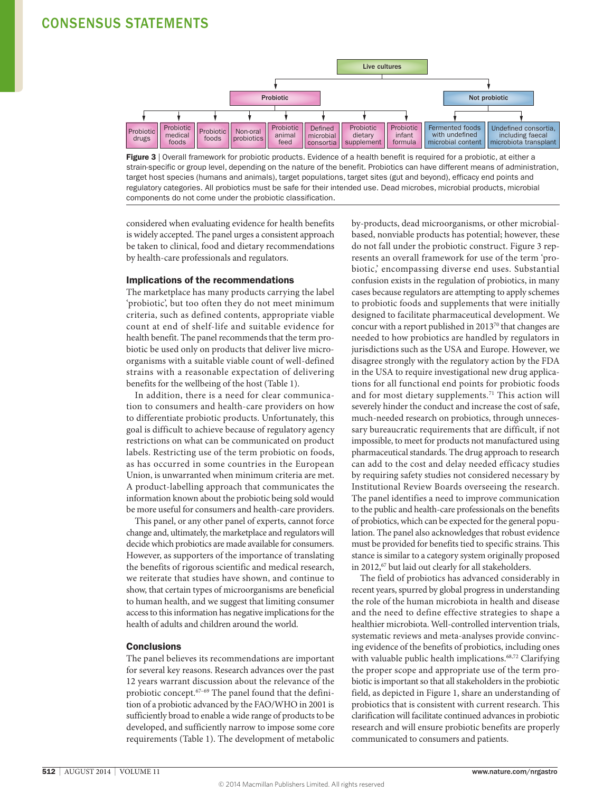

Figure 3 | Overall framework for probiotic products. Evidence of a health benefit is required for a probiotic, at either a strain-specific or group level, depending on the nature of the benefit. Probiotics can have different means of administration, target host species (humans and animals), target populations, target sites (gut and beyond), efficacy end points and regulatory categories. All probiotics must be safe for their intended use. Dead microbes, microbial products, microbial components do not come under the probiotic classification.

considered when evaluating evidence for health benefits is widely accepted. The panel urges a consistent approach be taken to clinical, food and dietary recommendations by health-care professionals and regulators.

#### Implications of the recommendations

The marketplace has many products carrying the label 'probiotic', but too often they do not meet minimum criteria, such as defined contents, appropriate viable count at end of shelf-life and suitable evidence for health benefit. The panel recommends that the term probiotic be used only on products that deliver live microorganisms with a suitable viable count of well-defined strains with a reasonable expectation of delivering benefits for the wellbeing of the host (Table 1).

In addition, there is a need for clear communication to consumers and health-care providers on how to differentiate probiotic products. Unfortunately, this goal is difficult to achieve because of regulatory agency restrictions on what can be communicated on product labels. Restricting use of the term probiotic on foods, as has occurred in some countries in the European Union, is unwarranted when minimum criteria are met. A product-labelling approach that communicates the information known about the probiotic being sold would be more useful for consumers and health-care providers.

This panel, or any other panel of experts, cannot force change and, ultimately, the marketplace and regulators will decide which probiotics are made available for consumers. However, as supporters of the importance of translating the benefits of rigorous scientific and medical research, we reiterate that studies have shown, and continue to show, that certain types of microorganisms are beneficial to human health, and we suggest that limiting consumer access to this information has negative implications for the health of adults and children around the world.

#### **Conclusions**

The panel believes its recommendations are important for several key reasons. Research advances over the past 12 years warrant discussion about the relevance of the probiotic concept.67–69 The panel found that the definition of a probiotic advanced by the FAO/WHO in 2001 is sufficiently broad to enable a wide range of products to be developed, and sufficiently narrow to impose some core requirements (Table 1). The development of metabolic by-products, dead microorganisms, or other microbialbased, nonviable products has potential; however, these do not fall under the probiotic construct. Figure 3 represents an overall framework for use of the term 'probiotic,' encompassing diverse end uses. Substantial confusion exists in the regulation of probiotics, in many cases because regulators are attempting to apply schemes to probiotic foods and supplements that were initially designed to facilitate pharmaceutical development. We concur with a report published in 2013<sup>70</sup> that changes are needed to how probiotics are handled by regulators in jurisdictions such as the USA and Europe. However, we disagree strongly with the regulatory action by the FDA in the USA to require investigational new drug applications for all functional end points for probiotic foods and for most dietary supplements.<sup>71</sup> This action will severely hinder the conduct and increase the cost of safe, much-needed research on probiotics, through unnecessary bureaucratic requirements that are difficult, if not impossible, to meet for products not manufactured using pharmaceutical standards. The drug approach to research can add to the cost and delay needed efficacy studies by requiring safety studies not considered necessary by Institutional Review Boards overseeing the research. The panel identifies a need to improve communication to the public and health-care professionals on the benefits of probiotics, which can be expected for the general population. The panel also acknowledges that robust evidence must be provided for benefits tied to specific strains. This stance is similar to a category system originally proposed in 2012,<sup>67</sup> but laid out clearly for all stakeholders.

The field of probiotics has advanced considerably in recent years, spurred by global progress in understanding the role of the human microbiota in health and disease and the need to define effective strategies to shape a healthier microbiota. Well-controlled intervention trials, systematic reviews and meta-analyses provide convincing evidence of the benefits of probiotics, including ones with valuable public health implications.<sup>68,72</sup> Clarifying the proper scope and appropriate use of the term probiotic is important so that all stakeholders in the probiotic field, as depicted in Figure 1, share an understanding of probiotics that is consistent with current research. This clarification will facilitate continued advances in probiotic research and will ensure probiotic benefits are properly communicated to consumers and patients.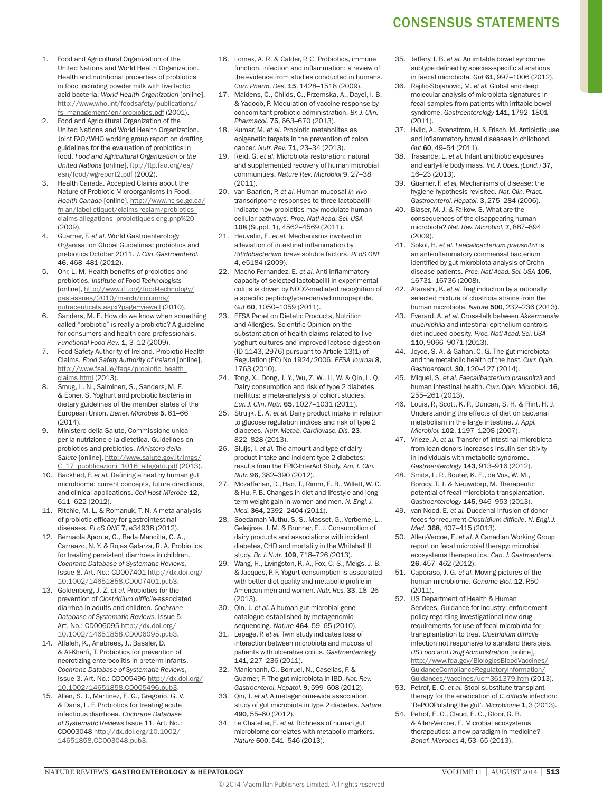- 1. Food and Agricultural Organization of the United Nations and World Health Organization. Health and nutritional properties of probiotics in food including powder milk with live lactic acid bacteria. *World Health Organization* [online], [http://www.who.int/foodsafety/publications/](http://www.who.int/foodsafety/publications/fs_management/en/probiotics.pdf ) [fs\\_management/en/probiotics.pdf](http://www.who.int/foodsafety/publications/fs_management/en/probiotics.pdf ) (2001).
- Food and Agricultural Organization of the United Nations and World Health Organization. Joint FAO/WHO working group report on drafting guidelines for the evaluation of probiotics in food. *Food and Agricultural Organization of the United Nations* [online], [ftp://ftp.fao.org/es/](ftp://ftp.fao.org/es/esn/food/wgreport2.pdf) [esn/food/wgreport2.pdf](ftp://ftp.fao.org/es/esn/food/wgreport2.pdf) (2002).
- 3. Health Canada. Accepted Claims about the Nature of Probiotic Microorganisms in Food. *Health Canada* [online], [http://www.hc-sc.gc.ca/](http://www.hc-sc.gc.ca/fn-an/label-etiquet/claims-reclam/probiotics_claims-allegations_probiotiques-eng.php ) [fn-an/label-etiquet/claims-reclam/probiotics\\_](http://www.hc-sc.gc.ca/fn-an/label-etiquet/claims-reclam/probiotics_claims-allegations_probiotiques-eng.php ) [claims-allegations\\_probiotiques-eng.php%20](http://www.hc-sc.gc.ca/fn-an/label-etiquet/claims-reclam/probiotics_claims-allegations_probiotiques-eng.php ) (2009).
- 4. Guarner, F. *et al.* World Gastroenterology Organisation Global Guidelines: probiotics and prebiotics October 2011. *J. Clin. Gastroenterol.* 46, 468–481 (2012).
- 5. Ohr, L. M. Health benefits of probiotics and prebiotics. *Institute of* Food *Technologists* [online], [http://www.ift.org/food-technology/](http://www.ift.org/food-technology/past-issues/2010/march/columns/nutraceuticals.aspx?page=viewall ) [past-issues/2010/march/columns/](http://www.ift.org/food-technology/past-issues/2010/march/columns/nutraceuticals.aspx?page=viewall ) [nutraceuticals.aspx?page=viewall](http://www.ift.org/food-technology/past-issues/2010/march/columns/nutraceuticals.aspx?page=viewall ) (2010).
- 6. Sanders, M. E. How do we know when something called "probiotic" is really a probiotic? A guideline for consumers and health care professionals. *Functional Food Rev.* 1, 3–12 (2009).
- 7. Food Safety Authority of Ireland. Probiotic Health Claims. *Food Safety Authority of Ireland* [online], [http://www.fsai.ie/faqs/probiotic\\_health\\_](http://www.fsai.ie/faqs/probiotic_health_claims.html) [claims.html](http://www.fsai.ie/faqs/probiotic_health_claims.html) (2013).
- 8. Smug, L. N., Salminen, S., Sanders, M. E. & Ebner, S. Yoghurt and probiotic bacteria in dietary guidelines of the member states of the European Union. *Benef. Microbes* 5, 61–66 (2014).
- 9. Ministero della Salute, Commissione unica per la nutrizione e la dietetica. Guidelines on probiotics and prebiotics. *Ministero della Salute* [online], [http://www.salute.gov.it/imgs/](http://www.salute.gov.it/imgs/C_17_pubblicazioni_1016_allegato.pdf) [C\\_17\\_pubblicazioni\\_1016\\_allegato.pdf](http://www.salute.gov.it/imgs/C_17_pubblicazioni_1016_allegato.pdf) (2013).
- 10. Backhed, F. *et al.* Defining a healthy human gut microbiome: current concepts, future directions, and clinical applications. *Cell Host Microbe* 12, 611–622 (2012).
- 11. Ritchie, M. L. & Romanuk, T. N. A meta-analysis of probiotic efficacy for gastrointestinal diseases. *PLoS ONE* 7, e34938 (2012).
- 12. Bernaola Aponte, G., Bada Mancilla, C. A., Carreazo, N. Y. & Rojas Galarza, R. A. Probiotics for treating persistent diarrhoea in children. *Cochrane Database of Systematic Reviews,* Issue 8. Art. No.: CD007401 [http://dx.doi.org/](http://dx.doi.org/10.1002/14651858.CD007401.pub3) [10.1002/14651858.CD007401.pub3.](http://dx.doi.org/10.1002/14651858.CD007401.pub3)
- 13. Goldenberg, J. Z. *et al.* Probiotics for the prevention of *Clostridium difficile*-associated diarrhea in adults and children. *Cochrane Database of Systematic Reviews,* Issue 5. Art. No.: CD006095 [http://dx.doi.org/](http://dx.doi.org/10.1002/14651858.CD006095.pub3) [10.1002/14651858.CD006095.pub3.](http://dx.doi.org/10.1002/14651858.CD006095.pub3)
- 14. Alfaleh, K., Anabrees, J., Bassler, D. & Al-Kharfi, T. Probiotics for prevention of necrotizing enterocolitis in preterm infants. *Cochrane Database of Systematic Reviews*, Issue 3. Art. No.: CD005496 [http://dx.doi.org/](http://dx.doi.org/10.1002/14651858.CD005496.pub3) [10.1002/14651858.CD005496.pub3.](http://dx.doi.org/10.1002/14651858.CD005496.pub3)
- 15. Allen, S. J., Martinez, E. G., Gregorio, G. V. & Dans, L. F. Probiotics for treating acute infectious diarrhoea. *Cochrane Database of Systematic Reviews* Issue 11. Art. No.: CD003048 [http://dx.doi.org/10.1002/](http://dx.doi.org/10.1002/14651858.CD003048.pub3) [14651858.CD003048.pub3](http://dx.doi.org/10.1002/14651858.CD003048.pub3).
- 16. Lomax, A. R. & Calder, P. C. Probiotics, immune function, infection and inflammation: a review of the evidence from studies conducted in humans. *Curr. Pharm. Des.* 15, 1428–1518 (2009).
- 17. Maidens, C., Childs, C., Przemska, A., Dayel, I. B. & Yaqoob, P. Modulation of vaccine response by concomitant probiotic administration. *Br. J. Clin. Pharmacol.* 75, 663–670 (2013).
- 18. Kumar, M. *et al.* Probiotic metabolites as epigenetic targets in the prevention of colon cancer. *Nutr. Rev.* 71, 23–34 (2013).
- 19. Reid, G. *et al.* Microbiota restoration: natural and supplemented recovery of human microbial communities. *Nature Rev. Microbiol* 9, 27–38  $(2011)$ .
- 20. van Baarlen, P. *et al.* Human mucosal *in vivo* transcriptome responses to three lactobacilli indicate how probiotics may modulate human cellular pathways. *Proc. Natl Acad. Sci. USA* 108 (Suppl. 1), 4562–4569 (2011).
- 21. Heuvelin, E. *et al.* Mechanisms involved in alleviation of intestinal inflammation by *Bifidobacterium breve* soluble factors. *PLoS ONE* 4, e5184 (2009).
- 22. Macho Fernandez, E. *et al.* Anti-inflammatory capacity of selected lactobacilli in experimental colitis is driven by NOD2-mediated recognition of a specific peptidoglycan-derived muropeptide. *Gut* 60, 1050–1059 (2011).
- 23. EFSA Panel on Dietetic Products, Nutrition and Allergies. Scientific Opinion on the substantiation of health claims related to live yoghurt cultures and improved lactose digestion (ID 1143, 2976) pursuant to Article 13(1) of Regulation (EC) No 1924/2006. *EFSA Journal* 8, 1763 (2010).
- 24. Tong, X., Dong, J. Y., Wu, Z. W., Li, W. & Qin, L. Q. Dairy consumption and risk of type 2 diabetes mellitus: a meta-analysis of cohort studies. *Eur. J. Clin. Nutr.* 65, 1027–1031 (2011).
- 25. Struijk, E. A. *et al.* Dairy product intake in relation to glucose regulation indices and risk of type 2 diabetes. *Nutr. Metab. Cardiovasc. Dis.* 23, 822–828 (2013).
- 26. Sluijs, I. *et al.* The amount and type of dairy product intake and incident type 2 diabetes: results from the EPIC-InterAct Study. *Am. J*. *Clin. Nutr.* 96, 382–390 (2012).
- 27. Mozaffarian, D., Hao, T., Rimm, E. B., Willett, W. C. & Hu, F. B. Changes in diet and lifestyle and longterm weight gain in women and men. *N. Engl. J. Med.* 364, 2392–2404 (2011).
- 28. Soedamah-Muthu, S. S., Masset, G., Verberne, L., Geleijnse, J. M. & Brunner, E. J. Consumption of dairy products and associations with incident diabetes, CHD and mortality in the Whitehall II study. *Br. J. Nutr.* 109, 718–726 (2013).
- 29. Wang, H., Livingston, K. A., Fox, C. S., Meigs, J. B. & Jacques, P. F. Yogurt consumption is associated with better diet quality and metabolic profile in American men and women. *Nutr. Res.* 33, 18–26 (2013).
- 30. Qin, J. *et al.* A human gut microbial gene catalogue established by metagenomic sequencing. *Nature* 464, 59–65 (2010).
- 31. Lepage, P. *et al.* Twin study indicates loss of interaction between microbiota and mucosa of patients with ulcerative colitis. *Gastroenterology* 141, 227–236 (2011).
- 32. Manichanh, C., Borruel, N., Casellas, F. & Guarner, F. The gut microbiota in IBD. *Nat. Rev. Gastroenterol. Hepatol.* 9, 599–608 (2012).
- 33. Qin, J. *et al.* A metagenome-wide association study of gut microbiota in type 2 diabetes. *Nature* 490, 55–60 (2012).
- 34. Le Chatelier, E. *et al.* Richness of human gut microbiome correlates with metabolic markers. *Nature* 500, 541–546 (2013).

## 35. Jeffery, I. B. *et al.* An irritable bowel syndrome

CONSENSUS STATEMENTS

- subtype defined by species-specific alterations in faecal microbiota. *Gut* 61, 997–1006 (2012).
- 36. Rajilic-Stojanovic, M. *et al.* Global and deep molecular analysis of microbiota signatures in fecal samples from patients with irritable bowel syndrome. *Gastroenterology* 141, 1792–1801 (2011).
- 37. Hviid, A., Svanstrom, H. & Frisch, M. Antibiotic use and inflammatory bowel diseases in childhood. *Gut* 60, 49–54 (2011).
- 38. Trasande, L. *et al.* Infant antibiotic exposures and early-life body mass. *Int. J. Obes. (Lond.)* 37, 16–23 (2013).
- 39. Guarner, F. *et al.* Mechanisms of disease: the hygiene hypothesis revisited. *Nat. Clin. Pract. Gastroenterol. Hepatol.* 3, 275–284 (2006).
- 40. Blaser, M. J. & Falkow, S. What are the consequences of the disappearing human microbiota? *Nat. Rev. Microbiol.* 7, 887–894 (2009).
- 41. Sokol, H. *et al. Faecalibacterium prausnitzii* is an anti-inflammatory commensal bacterium identified by gut microbiota analysis of Crohn disease patients. *Proc. Natl Acad. Sci. USA* 105, 16731–16736 (2008).
- 42. Atarashi, K. *et al.* Treg induction by a rationally selected mixture of clostridia strains from the human microbiota. *Nature* 500, 232–236 (2013).
- 43. Everard, A. *et al.* Cross-talk between *Akkermansia muciniphila* and intestinal epithelium controls diet-induced obesity. *Proc. Natl Acad. Sci. USA* 110, 9066–9071 (2013).
- 44. Joyce, S. A. & Gahan, C. G. The gut microbiota and the metabolic health of the host*. Curr. Opin. Gastroenterol.* 30, 120–127 (2014).
- 45. Miquel, S. *et al. Faecalibacterium prausnitzii* and human intestinal health. *Curr. Opin. Microbiol*. 16, 255–261 (2013).
- 46. Louis, P., Scott, K. P., Duncan, S. H. & Flint, H. J. Understanding the effects of diet on bacterial metabolism in the large intestine. *J. Appl. Microbiol.* 102, 1197–1208 (2007).
- 47. Vrieze, A. *et al.* Transfer of intestinal microbiota from lean donors increases insulin sensitivity in individuals with metabolic syndrome. *Gastroenterology* 143, 913–916 (2012).
- 48. Smits, L. P., Bouter, K. E., de Vos, W. M., Borody, T. J. & Nieuwdorp, M. Therapeutic potential of fecal microbiota transplantation. *Gastroenterology* 145, 946–953 (2013).
- 49. van Nood, E. *et al.* Duodenal infusion of donor feces for recurrent *Clostridium difficile*. *N. Engl. J. Med.* 368, 407–415 (2013).
- 50. Allen-Vercoe, E. *et al.* A Canadian Working Group report on fecal microbial therapy: microbial ecosystems therapeutics. *Can. J. Gastroenterol.* 26, 457–462 (2012).
- 51. Caporaso, J. G. *et al.* Moving pictures of the human microbiome. Genome Biol. 12, R50 (2011).
- 52. US Department of Health & Human Services. Guidance for industry: enforcement policy regarding investigational new drug requirements for use of fecal microbiota for transplantation to treat *Clostridium difficile*  infection not responsive to standard therapies. *US Food and Drug Administration* [online], [http://www.fda.gov/BiologicsBloodVaccines/](http://www.fda.gov/BiologicsBloodVaccines/GuidanceComplianceRegulatoryInformation/Guidances/Vaccines/ucm361379.htm ) [GuidanceComplianceRegulatoryInformation/](http://www.fda.gov/BiologicsBloodVaccines/GuidanceComplianceRegulatoryInformation/Guidances/Vaccines/ucm361379.htm ) [Guidances/Vaccines/ucm361379.htm](http://www.fda.gov/BiologicsBloodVaccines/GuidanceComplianceRegulatoryInformation/Guidances/Vaccines/ucm361379.htm ) (2013).
- 53. Petrof, E. O. *et al.* Stool substitute transplant therapy for the eradication of *C. difficile* infection: 'RePOOPulating the gut'. *Microbiome* 1, 3 (2013).
- 54. Petrof, E. O., Claud, E. C., Gloor, G. B. & Allen-Vercoe, E. Microbial ecosystems therapeutics: a new paradigm in medicine? *Benef. Microbes* 4, 53–65 (2013).